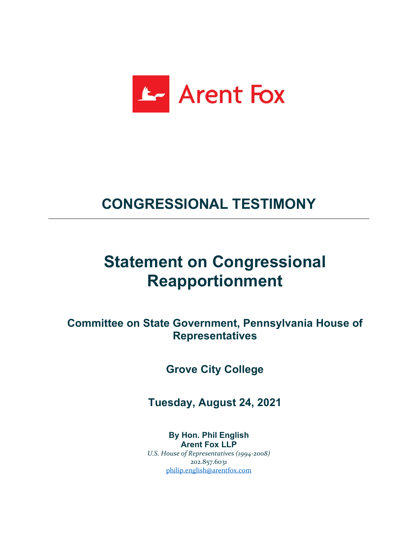

## **CONGRESSIONAL TESTIMONY**

## **Statement on Congressional Reapportionment**

**Committee on State Government, Pennsylvania House of Representatives**

**Grove City College**

**Tuesday, August 24, 2021**

**By Hon. Phil English Arent Fox LLP** *U.S. House of Representatives (1994-2008)* 202.857.6031 [philip.english@arentfox.com](mailto:philip.english@arentfox.com)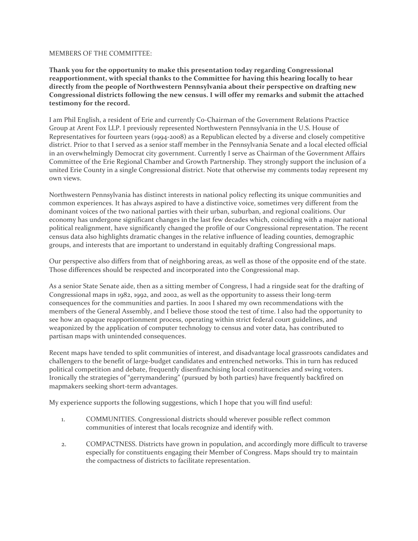## MEMBERS OF THE COMMITTEE:

**Thank you for the opportunity to make this presentation today regarding Congressional reapportionment, with special thanks to the Committee for having this hearing locally to hear directly from the people of Northwestern Pennsylvania about their perspective on drafting new Congressional districts following the new census. I will offer my remarks and submit the attached testimony for the record.** 

I am Phil English, a resident of Erie and currently Co-Chairman of the Government Relations Practice Group at Arent Fox LLP. I previously represented Northwestern Pennsylvania in the U.S. House of Representatives for fourteen years (1994-2008) as a Republican elected by a diverse and closely competitive district. Prior to that I served as a senior staff member in the Pennsylvania Senate and a local elected official in an overwhelmingly Democrat city government. Currently I serve as Chairman of the Government Affairs Committee of the Erie Regional Chamber and Growth Partnership. They strongly support the inclusion of a united Erie County in a single Congressional district. Note that otherwise my comments today represent my own views.

Northwestern Pennsylvania has distinct interests in national policy reflecting its unique communities and common experiences. It has always aspired to have a distinctive voice, sometimes very different from the dominant voices of the two national parties with their urban, suburban, and regional coalitions. Our economy has undergone significant changes in the last few decades which, coinciding with a major national political realignment, have significantly changed the profile of our Congressional representation. The recent census data also highlights dramatic changes in the relative influence of leading counties, demographic groups, and interests that are important to understand in equitably drafting Congressional maps.

Our perspective also differs from that of neighboring areas, as well as those of the opposite end of the state. Those differences should be respected and incorporated into the Congressional map.

As a senior State Senate aide, then as a sitting member of Congress, I had a ringside seat for the drafting of Congressional maps in 1982, 1992, and 2002, as well as the opportunity to assess their long-term consequences for the communities and parties. In 2001 I shared my own recommendations with the members of the General Assembly, and I believe those stood the test of time. I also had the opportunity to see how an opaque reapportionment process, operating within strict federal court guidelines, and weaponized by the application of computer technology to census and voter data, has contributed to partisan maps with unintended consequences.

Recent maps have tended to split communities of interest, and disadvantage local grassroots candidates and challengers to the benefit of large-budget candidates and entrenched networks. This in turn has reduced political competition and debate, frequently disenfranchising local constituencies and swing voters. Ironically the strategies of "gerrymandering" (pursued by both parties) have frequently backfired on mapmakers seeking short-term advantages.

My experience supports the following suggestions, which I hope that you will find useful:

- 1. COMMUNITIES. Congressional districts should wherever possible reflect common communities of interest that locals recognize and identify with.
- 2. COMPACTNESS. Districts have grown in population, and accordingly more difficult to traverse especially for constituents engaging their Member of Congress. Maps should try to maintain the compactness of districts to facilitate representation.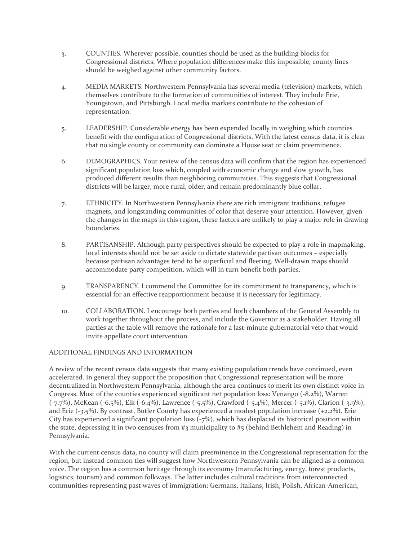- 3. COUNTIES. Wherever possible, counties should be used as the building blocks for Congressional districts. Where population differences make this impossible, county lines should be weighed against other community factors.
- 4. MEDIA MARKETS. Northwestern Pennsylvania has several media (television) markets, which themselves contribute to the formation of communities of interest. They include Erie, Youngstown, and Pittsburgh. Local media markets contribute to the cohesion of representation.
- 5. LEADERSHIP. Considerable energy has been expended locally in weighing which counties benefit with the configuration of Congressional districts. With the latest census data, it is clear that no single county or community can dominate a House seat or claim preeminence.
- 6. DEMOGRAPHICS. Your review of the census data will confirm that the region has experienced significant population loss which, coupled with economic change and slow growth, has produced different results than neighboring communities. This suggests that Congressional districts will be larger, more rural, older, and remain predominantly blue collar.
- 7. ETHNICITY. In Northwestern Pennsylvania there are rich immigrant traditions, refugee magnets, and longstanding communities of color that deserve your attention. However, given the changes in the maps in this region, these factors are unlikely to play a major role in drawing boundaries.
- 8. PARTISANSHIP. Although party perspectives should be expected to play a role in mapmaking, local interests should not be set aside to dictate statewide partisan outcomes – especially because partisan advantages tend to be superficial and fleeting. Well-drawn maps should accommodate party competition, which will in turn benefit both parties.
- 9. TRANSPARENCY. I commend the Committee for its commitment to transparency, which is essential for an effective reapportionment because it is necessary for legitimacy.
- 10. COLLABORATION. I encourage both parties and both chambers of the General Assembly to work together throughout the process, and include the Governor as a stakeholder. Having all parties at the table will remove the rationale for a last-minute gubernatorial veto that would invite appellate court intervention.

## ADDITIONAL FINDINGS AND INFORMATION

A review of the recent census data suggests that many existing population trends have continued, even accelerated. In general they support the proposition that Congressional representation will be more decentralized in Northwestern Pennsylvania, although the area continues to merit its own distinct voice in Congress. Most of the counties experienced significant net population loss: Venango (-8.2%), Warren (-7.7%), McKean (-6.5%), Elk (-6.4%), Lawrence (-5.5%), Crawford (-5.4%), Mercer (-5.1%), Clarion (-3.9%), and Erie (-3.5%). By contrast, Butler County has experienced a modest population increase (+2.2%). Erie City has experienced a significant population loss (-7%), which has displaced its historical position within the state, depressing it in two censuses from #3 municipality to #5 (behind Bethlehem and Reading) in Pennsylvania.

With the current census data, no county will claim preeminence in the Congressional representation for the region, but instead common ties will suggest how Northwestern Pennsylvania can be aligned as a common voice. The region has a common heritage through its economy (manufacturing, energy, forest products, logistics, tourism) and common folkways. The latter includes cultural traditions from interconnected communities representing past waves of immigration: Germans, Italians, Irish, Polish, African-American,